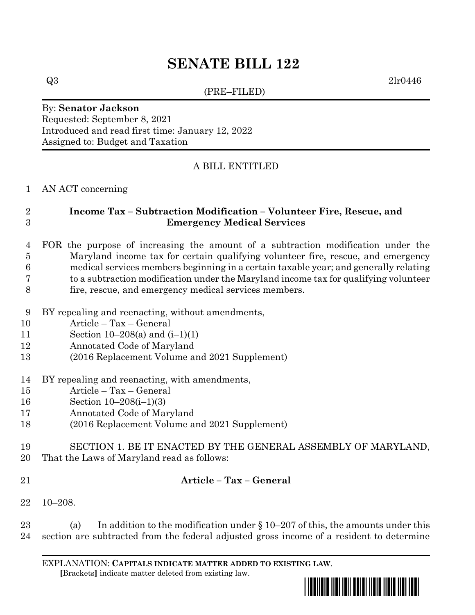# **SENATE BILL 122**

(PRE–FILED)

 $Q3$  2lr0446

#### By: **Senator Jackson** Requested: September 8, 2021 Introduced and read first time: January 12, 2022 Assigned to: Budget and Taxation

## A BILL ENTITLED

#### AN ACT concerning

## **Income Tax – Subtraction Modification – Volunteer Fire, Rescue, and Emergency Medical Services**

- FOR the purpose of increasing the amount of a subtraction modification under the Maryland income tax for certain qualifying volunteer fire, rescue, and emergency medical services members beginning in a certain taxable year; and generally relating to a subtraction modification under the Maryland income tax for qualifying volunteer fire, rescue, and emergency medical services members.
- BY repealing and reenacting, without amendments,
- Article Tax General
- Section 10–208(a) and (i–1)(1)
- Annotated Code of Maryland
- (2016 Replacement Volume and 2021 Supplement)
- BY repealing and reenacting, with amendments,
- Article Tax General
- Section 10–208(i–1)(3)
- Annotated Code of Maryland
- (2016 Replacement Volume and 2021 Supplement)
- SECTION 1. BE IT ENACTED BY THE GENERAL ASSEMBLY OF MARYLAND,
- That the Laws of Maryland read as follows:
- 

## **Article – Tax – General**

10–208.

23 (a) In addition to the modification under  $\S 10-207$  of this, the amounts under this section are subtracted from the federal adjusted gross income of a resident to determine

EXPLANATION: **CAPITALS INDICATE MATTER ADDED TO EXISTING LAW**.  **[**Brackets**]** indicate matter deleted from existing law.